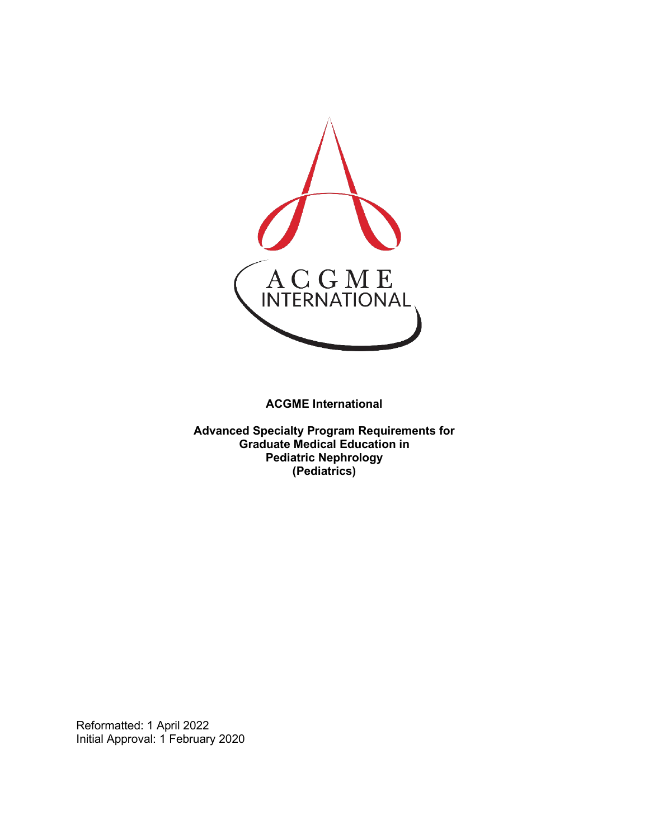

**ACGME International** 

**Advanced Specialty Program Requirements for Graduate Medical Education in Pediatric Nephrology (Pediatrics)**

Reformatted: 1 April 2022 Initial Approval: 1 February 2020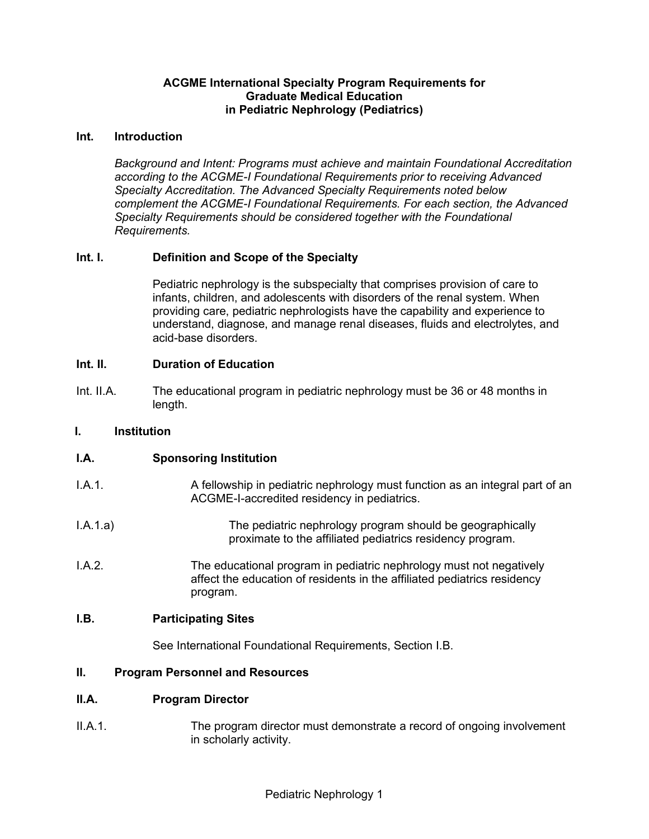#### **ACGME International Specialty Program Requirements for Graduate Medical Education in Pediatric Nephrology (Pediatrics)**

#### **Int. Introduction**

*Background and Intent: Programs must achieve and maintain Foundational Accreditation according to the ACGME-I Foundational Requirements prior to receiving Advanced Specialty Accreditation. The Advanced Specialty Requirements noted below complement the ACGME-I Foundational Requirements. For each section, the Advanced Specialty Requirements should be considered together with the Foundational Requirements.*

#### **Int. I. Definition and Scope of the Specialty**

Pediatric nephrology is the subspecialty that comprises provision of care to infants, children, and adolescents with disorders of the renal system. When providing care, pediatric nephrologists have the capability and experience to understand, diagnose, and manage renal diseases, fluids and electrolytes, and acid-base disorders.

#### **Int. II. Duration of Education**

Int. II.A. The educational program in pediatric nephrology must be 36 or 48 months in length.

#### **I. Institution**

## **I.A. Sponsoring Institution**

| I.A.1. | A fellowship in pediatric nephrology must function as an integral part of an |
|--------|------------------------------------------------------------------------------|
|        | ACGME-I-accredited residency in pediatrics.                                  |
|        |                                                                              |

- I.A.1.a) The pediatric nephrology program should be geographically proximate to the affiliated pediatrics residency program.
- I.A.2. The educational program in pediatric nephrology must not negatively affect the education of residents in the affiliated pediatrics residency program.

#### **I.B. Participating Sites**

See International Foundational Requirements, Section I.B.

#### **II. Program Personnel and Resources**

#### **II.A. Program Director**

II.A.1. The program director must demonstrate a record of ongoing involvement in scholarly activity.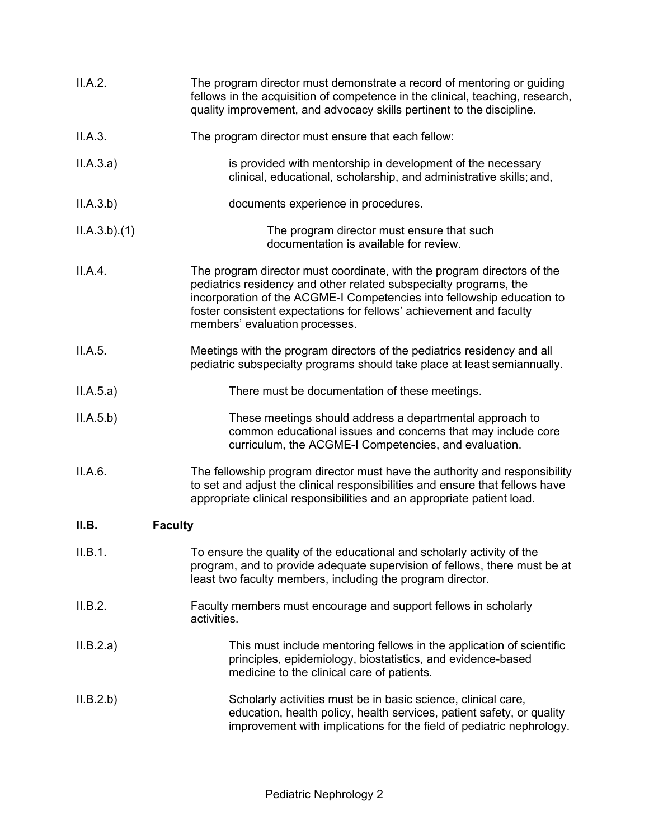| II.A.2.                 | The program director must demonstrate a record of mentoring or guiding<br>fellows in the acquisition of competence in the clinical, teaching, research,<br>quality improvement, and advocacy skills pertinent to the discipline.                                                                                                |
|-------------------------|---------------------------------------------------------------------------------------------------------------------------------------------------------------------------------------------------------------------------------------------------------------------------------------------------------------------------------|
| II.A.3.                 | The program director must ensure that each fellow:                                                                                                                                                                                                                                                                              |
| II.A.3.a)               | is provided with mentorship in development of the necessary<br>clinical, educational, scholarship, and administrative skills; and,                                                                                                                                                                                              |
| II.A.3.b)               | documents experience in procedures.                                                                                                                                                                                                                                                                                             |
| ILA.3.b)(1)             | The program director must ensure that such<br>documentation is available for review.                                                                                                                                                                                                                                            |
| II.A.4.                 | The program director must coordinate, with the program directors of the<br>pediatrics residency and other related subspecialty programs, the<br>incorporation of the ACGME-I Competencies into fellowship education to<br>foster consistent expectations for fellows' achievement and faculty<br>members' evaluation processes. |
| II.A.5.                 | Meetings with the program directors of the pediatrics residency and all<br>pediatric subspecialty programs should take place at least semiannually.                                                                                                                                                                             |
| II.A.5.a)               | There must be documentation of these meetings.                                                                                                                                                                                                                                                                                  |
| II.A.5.b)               | These meetings should address a departmental approach to<br>common educational issues and concerns that may include core<br>curriculum, the ACGME-I Competencies, and evaluation.                                                                                                                                               |
| II.A.6.                 | The fellowship program director must have the authority and responsibility<br>to set and adjust the clinical responsibilities and ensure that fellows have<br>appropriate clinical responsibilities and an appropriate patient load.                                                                                            |
| II.B.<br><b>Faculty</b> |                                                                                                                                                                                                                                                                                                                                 |
| II.B.1.                 | To ensure the quality of the educational and scholarly activity of the<br>program, and to provide adequate supervision of fellows, there must be at<br>least two faculty members, including the program director.                                                                                                               |
| II.B.2.                 | Faculty members must encourage and support fellows in scholarly<br>activities.                                                                                                                                                                                                                                                  |
| II.B.2.a)               | This must include mentoring fellows in the application of scientific<br>principles, epidemiology, biostatistics, and evidence-based<br>medicine to the clinical care of patients.                                                                                                                                               |
| II.B.2.b)               | Scholarly activities must be in basic science, clinical care,<br>education, health policy, health services, patient safety, or quality<br>improvement with implications for the field of pediatric nephrology.                                                                                                                  |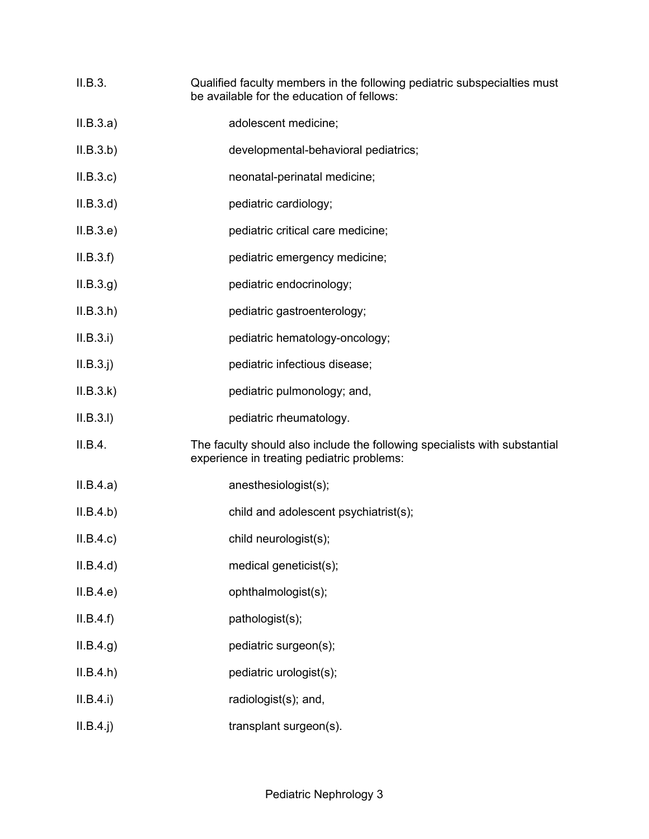- II.B.3. Qualified faculty members in the following pediatric subspecialties must be available for the education of fellows:
- II.B.3.a) adolescent medicine;
- II.B.3.b) developmental-behavioral pediatrics;
- II.B.3.c) neonatal-perinatal medicine;
- II.B.3.d) pediatric cardiology;
- II.B.3.e) pediatric critical care medicine;
- II.B.3.f) pediatric emergency medicine;
- II.B.3.g) pediatric endocrinology;
- II.B.3.h) pediatric gastroenterology;
- II.B.3.i) pediatric hematology-oncology;
- II.B.3.j) pediatric infectious disease;
- II.B.3.k) pediatric pulmonology; and,
- II.B.3.l) pediatric rheumatology.
- II.B.4. The faculty should also include the following specialists with substantial experience in treating pediatric problems:
- II.B.4.a) anesthesiologist(s);
- II.B.4.b) child and adolescent psychiatrist(s);
- II.B.4.c) child neurologist(s);
- II.B.4.d) medical geneticist(s);
- II.B.4.e) ophthalmologist(s);
- II.B.4.f) pathologist(s);
- II.B.4.g) pediatric surgeon(s);
- II.B.4.h) pediatric urologist(s);
- II.B.4.i) radiologist(s); and,
- II.B.4.j) transplant surgeon(s).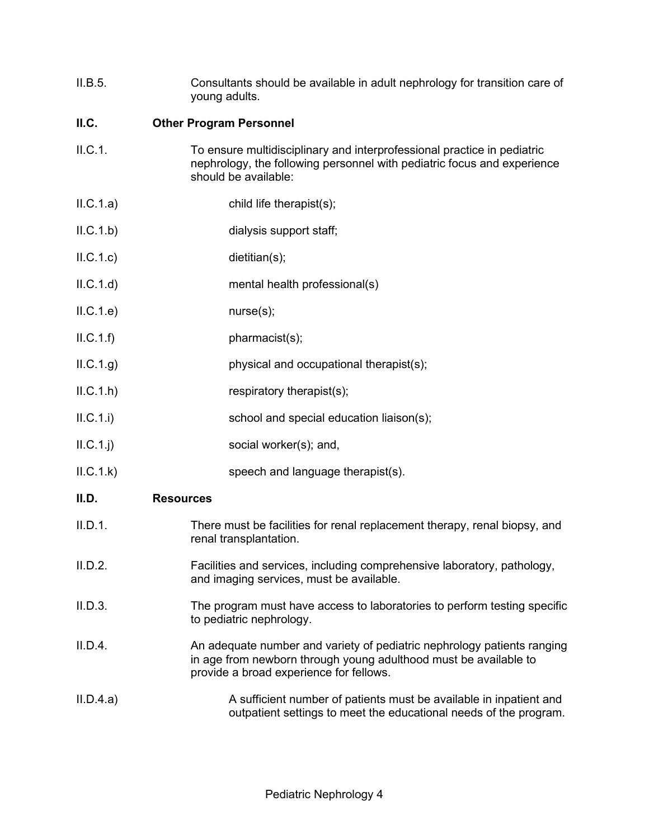| II.B.5. | Consultants should be available in adult nephrology for transition care of |
|---------|----------------------------------------------------------------------------|
|         | young adults.                                                              |

## **II.C. Other Program Personnel**

- II.C.1. To ensure multidisciplinary and interprofessional practice in pediatric nephrology, the following personnel with pediatric focus and experience should be available:
- II.C.1.a) child life therapist(s);
- II.C.1.b) dialysis support staff;
- II.C.1.c) dietitian(s);
- II.C.1.d) mental health professional(s)
- II.C.1.e) nurse(s);
- II.C.1.f) pharmacist(s);
- II.C.1.g) physical and occupational therapist(s);
- II.C.1.h) respiratory therapist(s);
- II.C.1.i) school and special education liaison(s);
- II.C.1.j) social worker(s); and,
- II.C.1.k) speech and language therapist(s).

#### **II.D. Resources**

- II.D.1. There must be facilities for renal replacement therapy, renal biopsy, and renal transplantation.
- II.D.2. Facilities and services, including comprehensive laboratory, pathology, and imaging services, must be available.
- II.D.3. The program must have access to laboratories to perform testing specific to pediatric nephrology.
- II.D.4. An adequate number and variety of pediatric nephrology patients ranging in age from newborn through young adulthood must be available to provide a broad experience for fellows.
- II.D.4.a) A sufficient number of patients must be available in inpatient and outpatient settings to meet the educational needs of the program.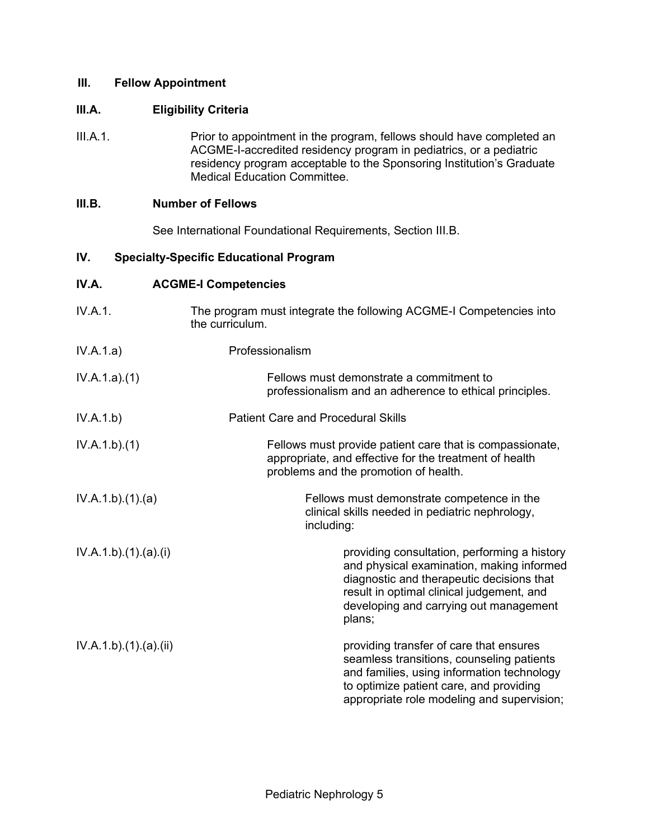#### **III. Fellow Appointment**

### **III.A. Eligibility Criteria**

III.A.1. Prior to appointment in the program, fellows should have completed an ACGME-I-accredited residency program in pediatrics, or a pediatric residency program acceptable to the Sponsoring Institution's Graduate Medical Education Committee.

### **III.B. Number of Fellows**

See International Foundational Requirements, Section III.B.

## **IV. Specialty-Specific Educational Program**

## **IV.A. ACGME-I Competencies**

| IV.A.1.             | The program must integrate the following ACGME-I Competencies into<br>the curriculum.                                                                                                                                                   |
|---------------------|-----------------------------------------------------------------------------------------------------------------------------------------------------------------------------------------------------------------------------------------|
| IV.A.1.a)           | Professionalism                                                                                                                                                                                                                         |
| IV.A.1.a)(1)        | Fellows must demonstrate a commitment to<br>professionalism and an adherence to ethical principles.                                                                                                                                     |
| IV.A.1.b)           | <b>Patient Care and Procedural Skills</b>                                                                                                                                                                                               |
| IV.A.1.b)(1)        | Fellows must provide patient care that is compassionate,<br>appropriate, and effective for the treatment of health<br>problems and the promotion of health.                                                                             |
| IV.A.1.b)(1)(a)     | Fellows must demonstrate competence in the<br>clinical skills needed in pediatric nephrology,<br>including:                                                                                                                             |
| IV.A.1.b)(1)(a)(i)  | providing consultation, performing a history<br>and physical examination, making informed<br>diagnostic and therapeutic decisions that<br>result in optimal clinical judgement, and<br>developing and carrying out management<br>plans; |
| IV.A.1.b)(1)(a)(ii) | providing transfer of care that ensures<br>seamless transitions, counseling patients                                                                                                                                                    |

and families, using information technology to optimize patient care, and providing appropriate role modeling and supervision;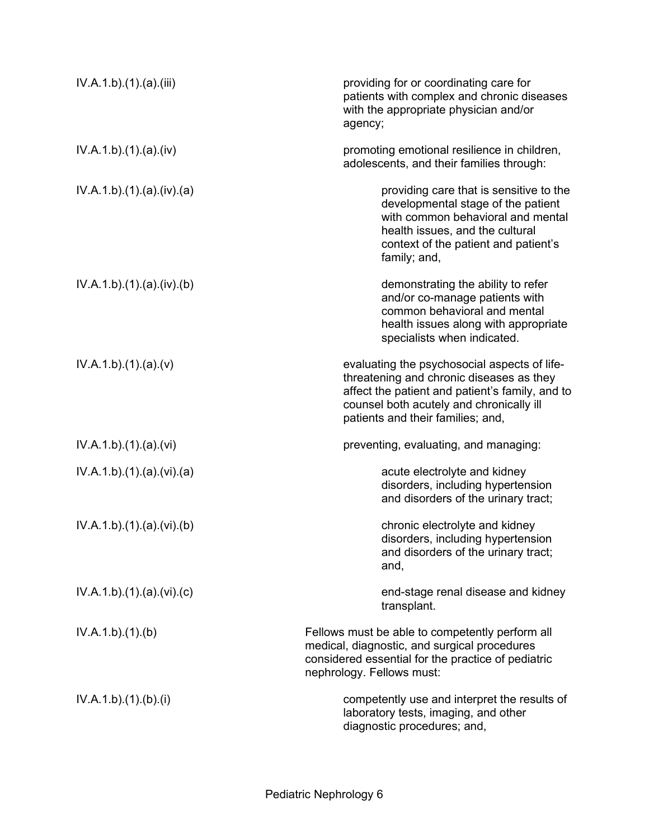| IV.A.1.b)(1)(a)(iii)    | providing for or coordinating care for<br>patients with complex and chronic diseases<br>with the appropriate physician and/or<br>agency;                                                                                     |
|-------------------------|------------------------------------------------------------------------------------------------------------------------------------------------------------------------------------------------------------------------------|
| IV.A.1.b)(1)(a)(iv)     | promoting emotional resilience in children,<br>adolescents, and their families through:                                                                                                                                      |
| IV.A.1.b)(1)(a)(iv)(a)  | providing care that is sensitive to the<br>developmental stage of the patient<br>with common behavioral and mental<br>health issues, and the cultural<br>context of the patient and patient's<br>family; and,                |
| IV.A.1.b)(1)(a)(iv)(b)  | demonstrating the ability to refer<br>and/or co-manage patients with<br>common behavioral and mental<br>health issues along with appropriate<br>specialists when indicated.                                                  |
| IV.A.1.b)(1)(a)(v)      | evaluating the psychosocial aspects of life-<br>threatening and chronic diseases as they<br>affect the patient and patient's family, and to<br>counsel both acutely and chronically ill<br>patients and their families; and, |
| IV.A.1.b)(1)(a)(vi)     | preventing, evaluating, and managing:                                                                                                                                                                                        |
| IV.A.1.b)(1)(a)(vi)(a)  | acute electrolyte and kidney<br>disorders, including hypertension<br>and disorders of the urinary tract;                                                                                                                     |
| IV.A.1.b)(1)(a)(vi)(b)  | chronic electrolyte and kidney<br>disorders, including hypertension<br>and disorders of the urinary tract;<br>and,                                                                                                           |
| IV.A.1.b)(1)(a)(vi)(c)  | end-stage renal disease and kidney<br>transplant.                                                                                                                                                                            |
| IV.A.1.b)(1)(b)         | Fellows must be able to competently perform all<br>medical, diagnostic, and surgical procedures<br>considered essential for the practice of pediatric<br>nephrology. Fellows must:                                           |
| IV.A.1.b) (1). (b). (i) | competently use and interpret the results of<br>laboratory tests, imaging, and other<br>diagnostic procedures; and,                                                                                                          |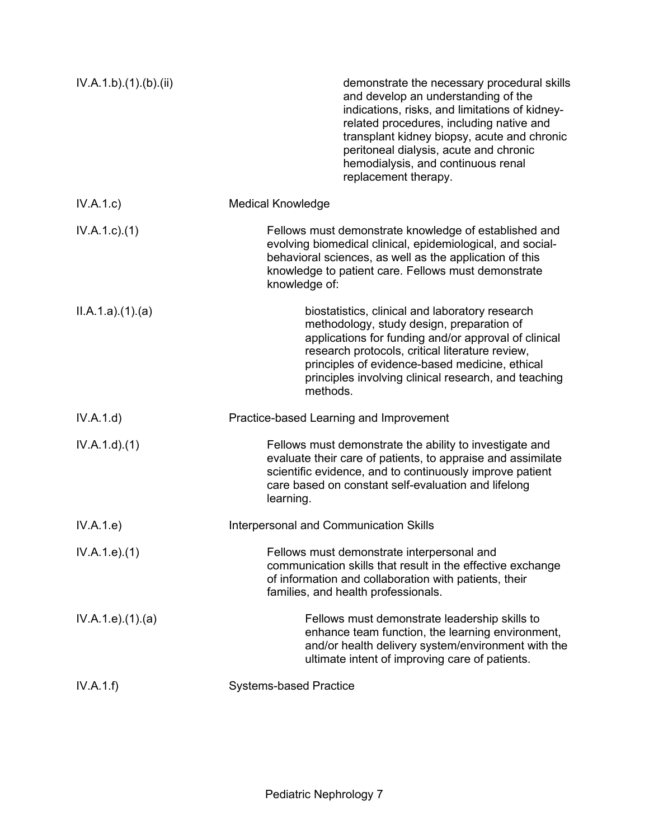| IV.A.1.b).(1).(b).(ii) | demonstrate the necessary procedural skills<br>and develop an understanding of the<br>indications, risks, and limitations of kidney-<br>related procedures, including native and<br>transplant kidney biopsy, acute and chronic<br>peritoneal dialysis, acute and chronic<br>hemodialysis, and continuous renal<br>replacement therapy. |
|------------------------|-----------------------------------------------------------------------------------------------------------------------------------------------------------------------------------------------------------------------------------------------------------------------------------------------------------------------------------------|
| IV.A.1.c)              | <b>Medical Knowledge</b>                                                                                                                                                                                                                                                                                                                |
| $IV.A.1.c.$ (1)        | Fellows must demonstrate knowledge of established and<br>evolving biomedical clinical, epidemiological, and social-<br>behavioral sciences, as well as the application of this<br>knowledge to patient care. Fellows must demonstrate<br>knowledge of:                                                                                  |
| ILA.1.a)(1)(a)         | biostatistics, clinical and laboratory research<br>methodology, study design, preparation of<br>applications for funding and/or approval of clinical<br>research protocols, critical literature review,<br>principles of evidence-based medicine, ethical<br>principles involving clinical research, and teaching<br>methods.           |
| IV.A.1.d)              | Practice-based Learning and Improvement                                                                                                                                                                                                                                                                                                 |
| IV.A.1.d)(1)           | Fellows must demonstrate the ability to investigate and<br>evaluate their care of patients, to appraise and assimilate<br>scientific evidence, and to continuously improve patient<br>care based on constant self-evaluation and lifelong<br>learning.                                                                                  |
| IV.A.1.e)              | Interpersonal and Communication Skills                                                                                                                                                                                                                                                                                                  |
| IV.A.1.e. (1)          | Fellows must demonstrate interpersonal and<br>communication skills that result in the effective exchange<br>of information and collaboration with patients, their<br>families, and health professionals.                                                                                                                                |
| IV.A.1.e. (1). (a)     | Fellows must demonstrate leadership skills to<br>enhance team function, the learning environment,<br>and/or health delivery system/environment with the<br>ultimate intent of improving care of patients.                                                                                                                               |
| IV.A.1.f)              | <b>Systems-based Practice</b>                                                                                                                                                                                                                                                                                                           |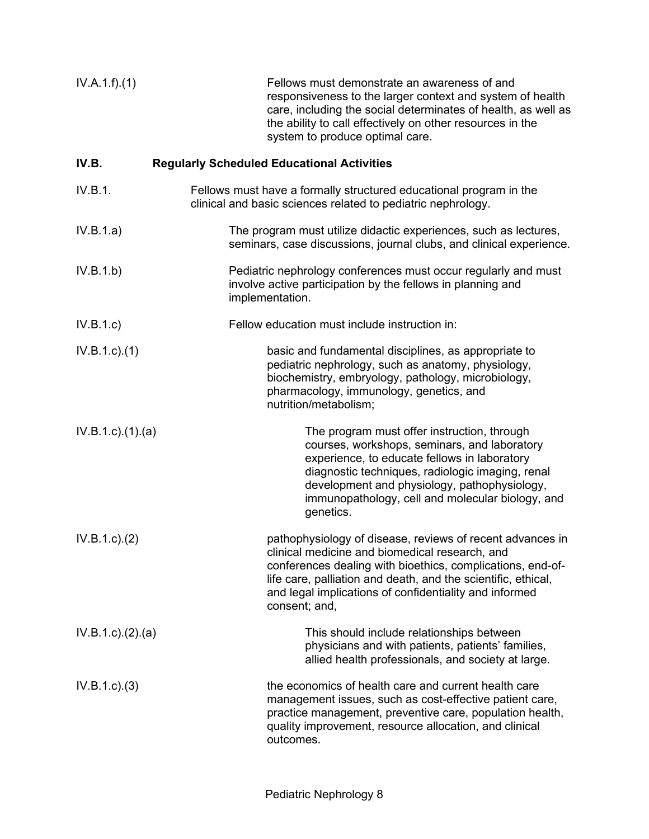| IV.A.1.f)(1)             | Fellows must demonstrate an awareness of and<br>responsiveness to the larger context and system of health<br>care, including the social determinates of health, as well as<br>the ability to call effectively on other resources in the<br>system to produce optimal care.                                            |
|--------------------------|-----------------------------------------------------------------------------------------------------------------------------------------------------------------------------------------------------------------------------------------------------------------------------------------------------------------------|
| IV.B.                    | <b>Regularly Scheduled Educational Activities</b>                                                                                                                                                                                                                                                                     |
| IV.B.1.                  | Fellows must have a formally structured educational program in the<br>clinical and basic sciences related to pediatric nephrology.                                                                                                                                                                                    |
| IV.B.1.a)                | The program must utilize didactic experiences, such as lectures,<br>seminars, case discussions, journal clubs, and clinical experience.                                                                                                                                                                               |
| IV.B.1.b)                | Pediatric nephrology conferences must occur regularly and must<br>involve active participation by the fellows in planning and<br>implementation.                                                                                                                                                                      |
| IV.B.1.c                 | Fellow education must include instruction in:                                                                                                                                                                                                                                                                         |
| $IV.B.1.c.$ (1)          | basic and fundamental disciplines, as appropriate to<br>pediatric nephrology, such as anatomy, physiology,<br>biochemistry, embryology, pathology, microbiology,<br>pharmacology, immunology, genetics, and<br>nutrition/metabolism;                                                                                  |
| $IV.B.1.c$ ). $(1).$ (a) | The program must offer instruction, through<br>courses, workshops, seminars, and laboratory<br>experience, to educate fellows in laboratory<br>diagnostic techniques, radiologic imaging, renal<br>development and physiology, pathophysiology,<br>immunopathology, cell and molecular biology, and<br>genetics.      |
| IV.B.1.c.)(2)            | pathophysiology of disease, reviews of recent advances in<br>clinical medicine and biomedical research, and<br>conferences dealing with bioethics, complications, end-of-<br>life care, palliation and death, and the scientific, ethical,<br>and legal implications of confidentiality and informed<br>consent; and, |
| IV.B.1.c.)(2).(a)        | This should include relationships between<br>physicians and with patients, patients' families,<br>allied health professionals, and society at large.                                                                                                                                                                  |
| IV.B.1.c.3)              | the economics of health care and current health care<br>management issues, such as cost-effective patient care,<br>practice management, preventive care, population health,<br>quality improvement, resource allocation, and clinical<br>outcomes.                                                                    |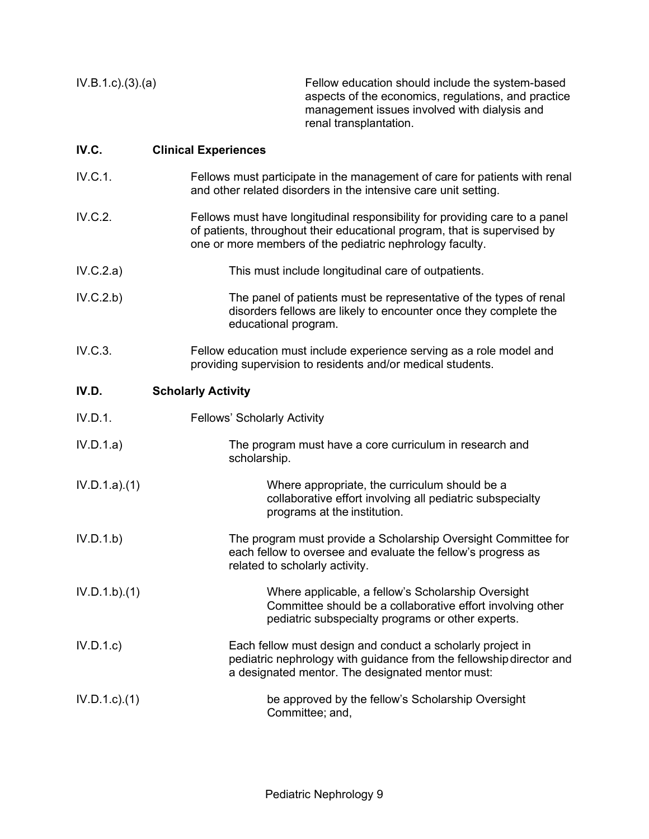IV.B.1.c).(3).(a) Fellow education should include the system-based aspects of the economics, regulations, and practice management issues involved with dialysis and renal transplantation.

### **IV.C. Clinical Experiences**

- IV.C.1. Fellows must participate in the management of care for patients with renal and other related disorders in the intensive care unit setting.
- IV.C.2. Fellows must have longitudinal responsibility for providing care to a panel of patients, throughout their educational program, that is supervised by one or more members of the pediatric nephrology faculty.
- IV.C.2.a) This must include longitudinal care of outpatients.
- IV.C.2.b) The panel of patients must be representative of the types of renal disorders fellows are likely to encounter once they complete the educational program.
- IV.C.3. Fellow education must include experience serving as a role model and providing supervision to residents and/or medical students.

## **IV.D. Scholarly Activity**

- IV.D.1. Fellows' Scholarly Activity
- IV.D.1.a) The program must have a core curriculum in research and scholarship.
- IV.D.1.a).(1) Where appropriate, the curriculum should be a collaborative effort involving all pediatric subspecialty programs at the institution.
- IV.D.1.b) The program must provide a Scholarship Oversight Committee for each fellow to oversee and evaluate the fellow's progress as related to scholarly activity.
- IV.D.1.b).(1) Where applicable, a fellow's Scholarship Oversight Committee should be a collaborative effort involving other pediatric subspecialty programs or other experts.
- IV.D.1.c) Each fellow must design and conduct a scholarly project in pediatric nephrology with guidance from the fellowshipdirector and a designated mentor. The designated mentor must:
- IV.D.1.c).(1) be approved by the fellow's Scholarship Oversight Committee; and,